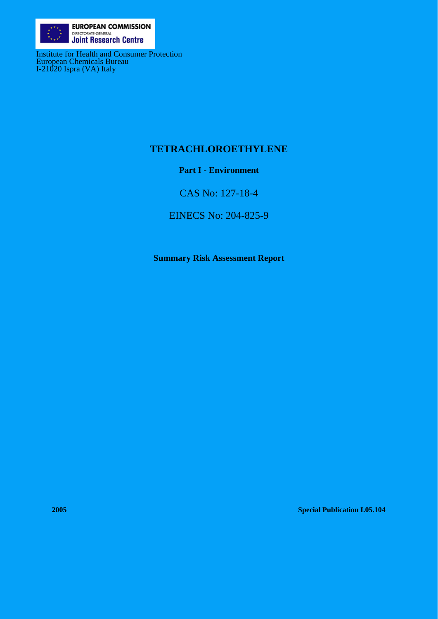

Institute for Health and Consumer Protection European Chemicals Bureau I-21020 Ispra (VA) Italy

# **TETRACHLOROETHYLENE**

# **Part I - Environment**

CAS No: 127-18-4

EINECS No: 204-825-9

**Summary Risk Assessment Report** 

**2005 Special Publication I.05.104**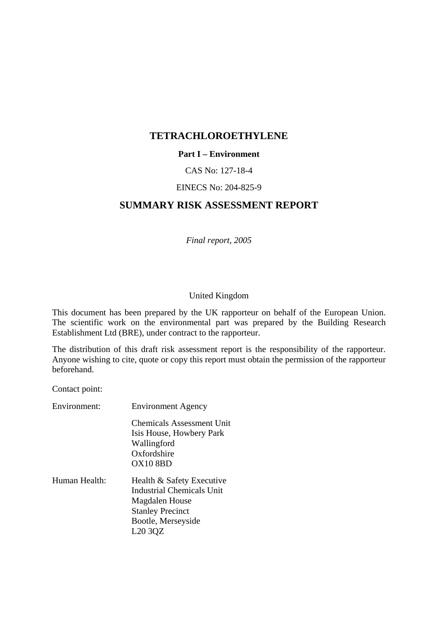### **TETRACHLOROETHYLENE**

#### **Part I – Environment**

#### CAS No: 127-18-4

#### EINECS No: 204-825-9

# **SUMMARY RISK ASSESSMENT REPORT**

*Final report, 2005*

#### United Kingdom

This document has been prepared by the UK rapporteur on behalf of the European Union. The scientific work on the environmental part was prepared by the Building Research Establishment Ltd (BRE), under contract to the rapporteur.

The distribution of this draft risk assessment report is the responsibility of the rapporteur. Anyone wishing to cite, quote or copy this report must obtain the permission of the rapporteur beforehand.

Contact point:

| Environment:  | <b>Environment Agency</b>                                                                                                                                        |
|---------------|------------------------------------------------------------------------------------------------------------------------------------------------------------------|
| Human Health: | Chemicals Assessment Unit<br>Isis House, Howbery Park<br>Wallingford<br>Oxfordshire<br><b>OX10 8BD</b><br>Health & Safety Executive<br>Industrial Chemicals Unit |
|               | Magdalen House<br><b>Stanley Precinct</b><br>Bootle, Merseyside<br>L <sub>20</sub> 3QZ                                                                           |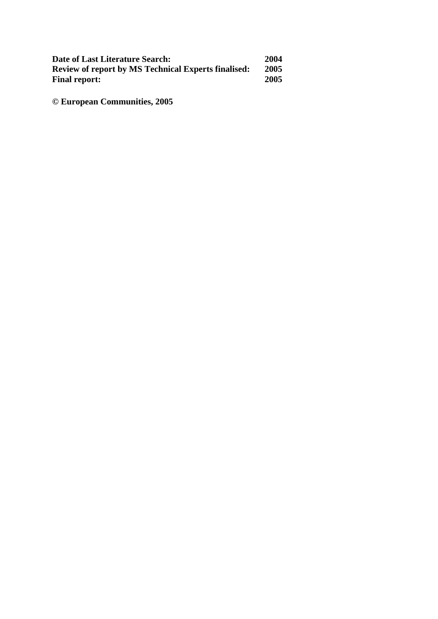| Date of Last Literature Search:                            | 2004 |
|------------------------------------------------------------|------|
| <b>Review of report by MS Technical Experts finalised:</b> | 2005 |
| <b>Final report:</b>                                       | 2005 |

**© European Communities, 2005**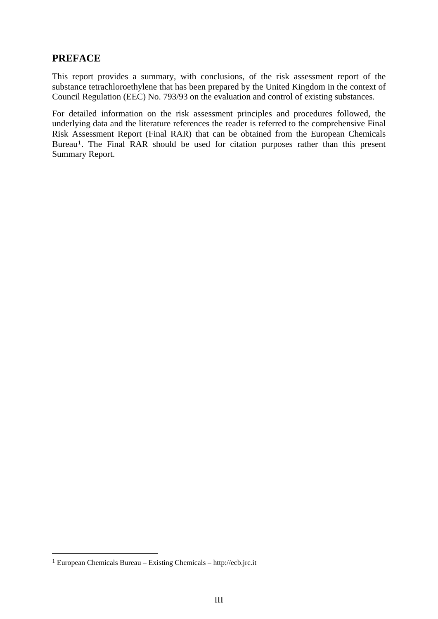# **PREFACE**

This report provides a summary, with conclusions, of the risk assessment report of the substance tetrachloroethylene that has been prepared by the United Kingdom in the context of Council Regulation (EEC) No. 793/93 on the evaluation and control of existing substances.

For detailed information on the risk assessment principles and procedures followed, the underlying data and the literature references the reader is referred to the comprehensive Final Risk Assessment Report (Final RAR) that can be obtained from the European Chemicals Bureau<sup>[1](#page-4-0)</sup>. The Final RAR should be used for citation purposes rather than this present Summary Report.

<u>.</u>

<span id="page-4-0"></span><sup>1</sup> European Chemicals Bureau – Existing Chemicals – http://ecb.jrc.it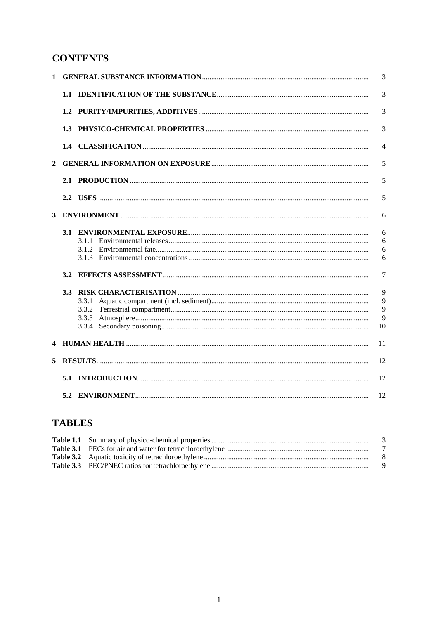# **CONTENTS**

| 1            |     |       | 3  |
|--------------|-----|-------|----|
|              |     |       | 3  |
|              |     |       | 3  |
|              | 1.3 |       | 3  |
|              |     |       | 4  |
| $\mathbf{2}$ |     |       | 5  |
|              |     |       | 5  |
|              |     |       | 5  |
| 3            |     |       | 6  |
|              |     |       | 6  |
|              |     | 3.1.1 | 6  |
|              |     | 3.1.2 | 6  |
|              |     |       | 6  |
|              | 3.2 |       | 7  |
|              |     |       | 9  |
|              |     | 3.3.1 | 9  |
|              |     |       | 9  |
|              |     |       | 9  |
|              |     |       | 10 |
|              |     |       | 11 |
| 5            |     |       | 12 |
|              |     |       | 12 |
|              |     |       | 12 |

# **TABLES**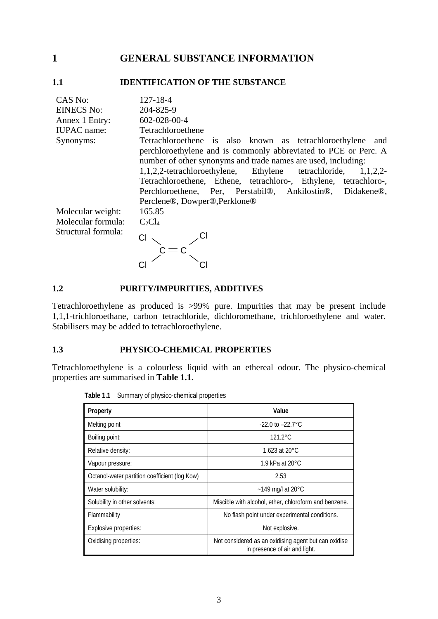# <span id="page-8-0"></span>**1 GENERAL SUBSTANCE INFORMATION**

#### **1.1 IDENTIFICATION OF THE SUBSTANCE**

| CAS No:             | $127 - 18 - 4$                                                     |
|---------------------|--------------------------------------------------------------------|
| <b>EINECS No:</b>   | 204-825-9                                                          |
| Annex 1 Entry:      | 602-028-00-4                                                       |
| <b>IUPAC</b> name:  | Tetrachloroethene                                                  |
| Synonyms:           | Tetrachloroethene is also known as tetrachloroethylene and         |
|                     | perchloroethylene and is commonly abbreviated to PCE or Perc. A    |
|                     | number of other synonyms and trade names are used, including:      |
|                     | 1,1,2,2-tetrachloroethylene, Ethylene tetrachloride,<br>$1,1,2,2-$ |
|                     | Tetrachloroethene, Ethene, tetrachloro-, Ethylene, tetrachloro-,   |
|                     | Perchloroethene, Per, Perstabil®, Ankilostin®, Didakene®,          |
|                     | Perclene®, Dowper®, Perklone®                                      |
| Molecular weight:   | 165.85                                                             |
| Molecular formula:  | $C_2Cl_4$                                                          |
| Structural formula: |                                                                    |
|                     |                                                                    |
|                     |                                                                    |

#### **1.2 PURITY/IMPURITIES, ADDITIVES**

Tetrachloroethylene as produced is >99% pure. Impurities that may be present include 1,1,1-trichloroethane, carbon tetrachloride, dichloromethane, trichloroethylene and water. Stabilisers may be added to tetrachloroethylene.

#### **1.3 PHYSICO-CHEMICAL PROPERTIES**

Tetrachloroethylene is a colourless liquid with an ethereal odour. The physico-chemical properties are summarised in **Table 1.1**.

| Property                                      | Value                                                                                 |
|-----------------------------------------------|---------------------------------------------------------------------------------------|
| Melting point                                 | $-22.0$ to $-22.7^{\circ}$ C                                                          |
| Boiling point:                                | $121.2^{\circ}$ C                                                                     |
| Relative density:                             | 1.623 at $20^{\circ}$ C                                                               |
| Vapour pressure:                              | 1.9 kPa at $20^{\circ}$ C                                                             |
| Octanol-water partition coefficient (log Kow) | 2.53                                                                                  |
| Water solubility:                             | $~149$ mg/l at 20 $^{\circ}$ C                                                        |
| Solubility in other solvents:                 | Miscible with alcohol, ether, chloroform and benzene.                                 |
| Flammability                                  | No flash point under experimental conditions.                                         |
| Explosive properties:                         | Not explosive.                                                                        |
| Oxidising properties:                         | Not considered as an oxidising agent but can oxidise<br>in presence of air and light. |

**Table 1.1** Summary of physico-chemical properties

3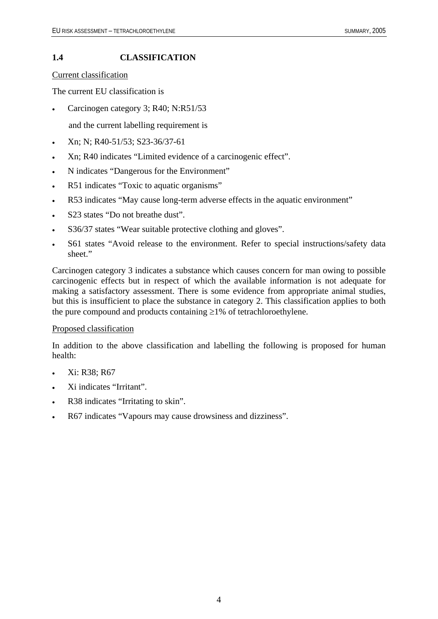#### <span id="page-9-0"></span>**1.4 CLASSIFICATION**

Current classification

The current EU classification is

- Carcinogen category 3; R40; N:R51/53
	- and the current labelling requirement is
- Xn; N; R40-51/53; S23-36/37-61
- Xn; R40 indicates "Limited evidence of a carcinogenic effect".
- N indicates "Dangerous for the Environment"
- R51 indicates "Toxic to aquatic organisms"
- R53 indicates "May cause long-term adverse effects in the aquatic environment"
- S<sub>23</sub> states "Do not breathe dust".
- S36/37 states "Wear suitable protective clothing and gloves".
- S61 states "Avoid release to the environment. Refer to special instructions/safety data sheet."

Carcinogen category 3 indicates a substance which causes concern for man owing to possible carcinogenic effects but in respect of which the available information is not adequate for making a satisfactory assessment. There is some evidence from appropriate animal studies, but this is insufficient to place the substance in category 2. This classification applies to both the pure compound and products containing  $\geq$ 1% of tetrachloroethylene.

#### Proposed classification

In addition to the above classification and labelling the following is proposed for human health:

- Xi: R38; R67
- Xi indicates "Irritant".
- R38 indicates "Irritating to skin".
- R67 indicates "Vapours may cause drowsiness and dizziness".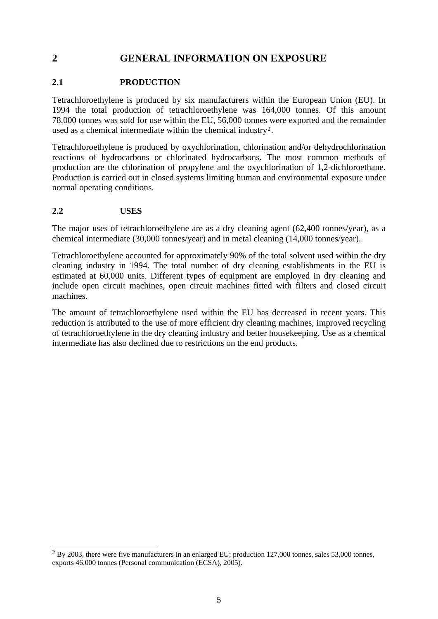# <span id="page-10-0"></span>**2 GENERAL INFORMATION ON EXPOSURE**

#### **2.1 PRODUCTION**

Tetrachloroethylene is produced by six manufacturers within the European Union (EU). In 1994 the total production of tetrachloroethylene was 164,000 tonnes. Of this amount 78,000 tonnes was sold for use within the EU, 56,000 tonnes were exported and the remainder used as a chemical intermediate within the chemical industry[2](#page-10-1).

Tetrachloroethylene is produced by oxychlorination, chlorination and/or dehydrochlorination reactions of hydrocarbons or chlorinated hydrocarbons. The most common methods of production are the chlorination of propylene and the oxychlorination of 1,2-dichloroethane. Production is carried out in closed systems limiting human and environmental exposure under normal operating conditions.

#### **2.2 USES**

1

The major uses of tetrachloroethylene are as a dry cleaning agent (62,400 tonnes/year), as a chemical intermediate (30,000 tonnes/year) and in metal cleaning (14,000 tonnes/year).

Tetrachloroethylene accounted for approximately 90% of the total solvent used within the dry cleaning industry in 1994. The total number of dry cleaning establishments in the EU is estimated at 60,000 units. Different types of equipment are employed in dry cleaning and include open circuit machines, open circuit machines fitted with filters and closed circuit machines.

The amount of tetrachloroethylene used within the EU has decreased in recent years. This reduction is attributed to the use of more efficient dry cleaning machines, improved recycling of tetrachloroethylene in the dry cleaning industry and better housekeeping. Use as a chemical intermediate has also declined due to restrictions on the end products.

<span id="page-10-1"></span><sup>&</sup>lt;sup>2</sup> By 2003, there were five manufacturers in an enlarged EU; production 127,000 tonnes, sales 53,000 tonnes, exports 46,000 tonnes (Personal communication (ECSA), 2005).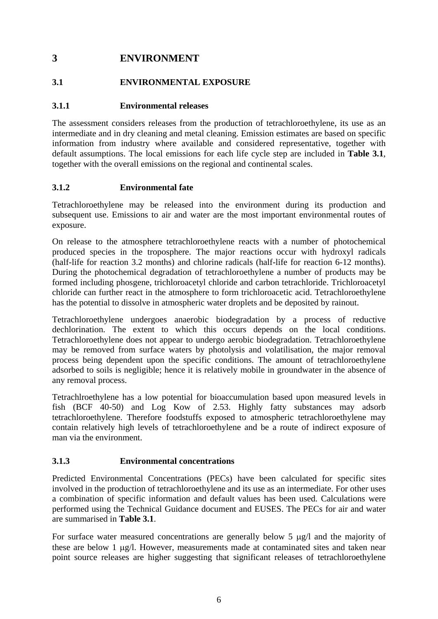# <span id="page-11-0"></span>**3 ENVIRONMENT**

## **3.1 ENVIRONMENTAL EXPOSURE**

#### **3.1.1 Environmental releases**

The assessment considers releases from the production of tetrachloroethylene, its use as an intermediate and in dry cleaning and metal cleaning. Emission estimates are based on specific information from industry where available and considered representative, together with default assumptions. The local emissions for each life cycle step are included in **Table 3.1**, together with the overall emissions on the regional and continental scales.

#### **3.1.2 Environmental fate**

Tetrachloroethylene may be released into the environment during its production and subsequent use. Emissions to air and water are the most important environmental routes of exposure.

On release to the atmosphere tetrachloroethylene reacts with a number of photochemical produced species in the troposphere. The major reactions occur with hydroxyl radicals (half-life for reaction 3.2 months) and chlorine radicals (half-life for reaction 6-12 months). During the photochemical degradation of tetrachloroethylene a number of products may be formed including phosgene, trichloroacetyl chloride and carbon tetrachloride. Trichloroacetyl chloride can further react in the atmosphere to form trichloroacetic acid. Tetrachloroethylene has the potential to dissolve in atmospheric water droplets and be deposited by rainout.

Tetrachloroethylene undergoes anaerobic biodegradation by a process of reductive dechlorination. The extent to which this occurs depends on the local conditions. Tetrachloroethylene does not appear to undergo aerobic biodegradation. Tetrachloroethylene may be removed from surface waters by photolysis and volatilisation, the major removal process being dependent upon the specific conditions. The amount of tetrachloroethylene adsorbed to soils is negligible; hence it is relatively mobile in groundwater in the absence of any removal process.

Tetrachlroethylene has a low potential for bioaccumulation based upon measured levels in fish (BCF 40-50) and Log Kow of 2.53. Highly fatty substances may adsorb tetrachloroethylene. Therefore foodstuffs exposed to atmospheric tetrachloroethylene may contain relatively high levels of tetrachloroethylene and be a route of indirect exposure of man via the environment.

#### **3.1.3 Environmental concentrations**

Predicted Environmental Concentrations (PECs) have been calculated for specific sites involved in the production of tetrachloroethylene and its use as an intermediate. For other uses a combination of specific information and default values has been used. Calculations were performed using the Technical Guidance document and EUSES. The PECs for air and water are summarised in **Table 3.1**.

For surface water measured concentrations are generally below 5 μg/l and the majority of these are below 1 μg/l. However, measurements made at contaminated sites and taken near point source releases are higher suggesting that significant releases of tetrachloroethylene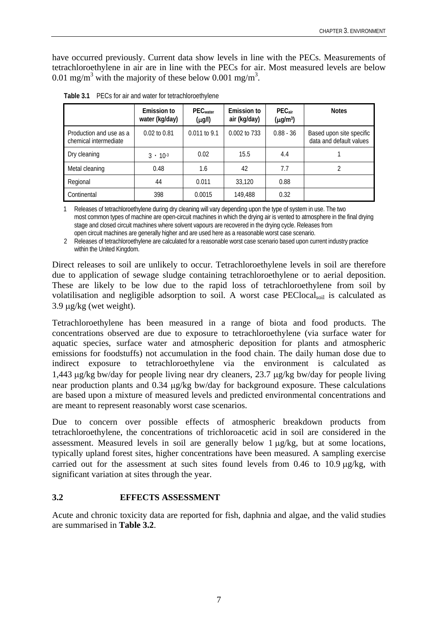<span id="page-12-0"></span>have occurred previously. Current data show levels in line with the PECs. Measurements of tetrachloroethylene in air are in line with the PECs for air. Most measured levels are below 0.01 mg/m<sup>3</sup> with the majority of these below 0.001 mg/m<sup>3</sup>.

|                                                  | Emission to<br>water (kg/day) | $PEC_{water}$<br>$(\mu g/l)$ | Emission to<br>air (kg/day) | $PEC_{air}$<br>$(\mu g/m^3)$ | <b>Notes</b>                                        |
|--------------------------------------------------|-------------------------------|------------------------------|-----------------------------|------------------------------|-----------------------------------------------------|
| Production and use as a<br>chemical intermediate | $0.02$ to $0.81$              | 0.011 to 9.1                 | 0.002 to 733                | $0.88 - 36$                  | Based upon site specific<br>data and default values |
| Dry cleaning                                     | $3 \cdot 10^{-3}$             | 0.02                         | 15.5                        | 4.4                          |                                                     |
| Metal cleaning                                   | 0.48                          | 1.6                          | 42                          | 7.7                          |                                                     |
| Regional                                         | 44                            | 0.011                        | 33,120                      | 0.88                         |                                                     |
| Continental                                      | 398                           | 0.0015                       | 149,488                     | 0.32                         |                                                     |

| Table 3.1 PECs for air and water for tetrachloroethylene |
|----------------------------------------------------------|
|                                                          |

1 Releases of tetrachloroethylene during dry cleaning will vary depending upon the type of system in use. The two most common types of machine are open-circuit machines in which the drying air is vented to atmosphere in the final drying stage and closed circuit machines where solvent vapours are recovered in the drying cycle. Releases from open circuit machines are generally higher and are used here as a reasonable worst case scenario.

2 Releases of tetrachloroethylene are calculated for a reasonable worst case scenario based upon current industry practice within the United Kingdom.

Direct releases to soil are unlikely to occur. Tetrachloroethylene levels in soil are therefore due to application of sewage sludge containing tetrachloroethylene or to aerial deposition. These are likely to be low due to the rapid loss of tetrachloroethylene from soil by volatilisation and negligible adsorption to soil. A worst case PEClocalsoil is calculated as  $3.9 \mu g/kg$  (wet weight).

Tetrachloroethylene has been measured in a range of biota and food products. The concentrations observed are due to exposure to tetrachloroethylene (via surface water for aquatic species, surface water and atmospheric deposition for plants and atmospheric emissions for foodstuffs) not accumulation in the food chain. The daily human dose due to indirect exposure to tetrachloroethylene via the environment is calculated as 1,443 μg/kg bw/day for people living near dry cleaners, 23.7 μg/kg bw/day for people living near production plants and 0.34 μg/kg bw/day for background exposure. These calculations are based upon a mixture of measured levels and predicted environmental concentrations and are meant to represent reasonably worst case scenarios.

Due to concern over possible effects of atmospheric breakdown products from tetrachloroethylene, the concentrations of trichloroacetic acid in soil are considered in the assessment. Measured levels in soil are generally below 1 μg/kg, but at some locations, typically upland forest sites, higher concentrations have been measured. A sampling exercise carried out for the assessment at such sites found levels from 0.46 to 10.9 μg/kg, with significant variation at sites through the year.

#### **3.2 EFFECTS ASSESSMENT**

Acute and chronic toxicity data are reported for fish, daphnia and algae, and the valid studies are summarised in **Table 3.2**.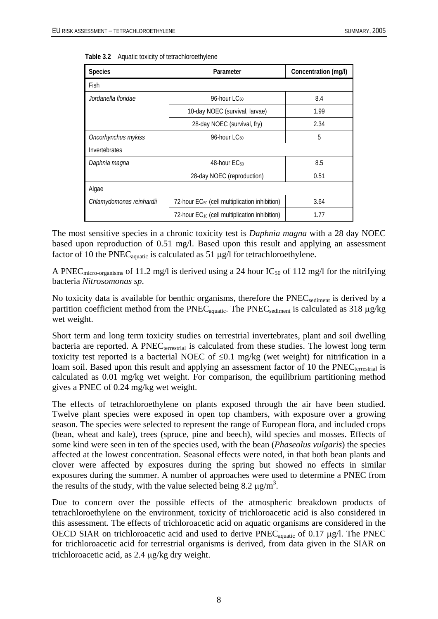| <b>Species</b>           | Parameter                                                 | Concentration (mg/l) |
|--------------------------|-----------------------------------------------------------|----------------------|
| Fish                     |                                                           |                      |
| Jordanella floridae      | 96-hour LC <sub>50</sub>                                  | 8.4                  |
|                          | 10-day NOEC (survival, larvae)                            | 1.99                 |
|                          | 28-day NOEC (survival, fry)                               | 2.34                 |
| Oncorhynchus mykiss      | 96-hour LC <sub>50</sub>                                  | 5                    |
| Invertebrates            |                                                           |                      |
| Daphnia magna            | 48-hour EC <sub>50</sub>                                  | 8.5                  |
|                          | 28-day NOEC (reproduction)                                | 0.51                 |
| Algae                    |                                                           |                      |
| Chlamydomonas reinhardii | 72-hour EC <sub>50</sub> (cell multiplication inhibition) | 3.64                 |
|                          | 72-hour EC <sub>10</sub> (cell multiplication inhibition) | 1.77                 |

<span id="page-13-0"></span>

|  |  | Table 3.2 Aquatic toxicity of tetrachloroethylene |
|--|--|---------------------------------------------------|
|--|--|---------------------------------------------------|

The most sensitive species in a chronic toxicity test is *Daphnia magna* with a 28 day NOEC based upon reproduction of 0.51 mg/l. Based upon this result and applying an assessment factor of 10 the PNEC<sub>aquatic</sub> is calculated as 51  $\mu$ g/l for tetrachloroethylene.

A PNEC micro-organisms of 11.2 mg/l is derived using a 24 hour  $IC_{50}$  of 112 mg/l for the nitrifying bacteria *Nitrosomonas sp*.

No toxicity data is available for benthic organisms, therefore the PNEC<sub>sediment</sub> is derived by a partition coefficient method from the PNEC<sub>aquatic</sub>. The PNEC<sub>sediment</sub> is calculated as 318 μg/kg wet weight.

Short term and long term toxicity studies on terrestrial invertebrates, plant and soil dwelling bacteria are reported. A PNEC<sub>terrestrial</sub> is calculated from these studies. The lowest long term toxicity test reported is a bacterial NOEC of  $\leq 0.1$  mg/kg (wet weight) for nitrification in a loam soil. Based upon this result and applying an assessment factor of 10 the  $PNEC<sub>terrestrial</sub>$  is calculated as 0.01 mg/kg wet weight. For comparison, the equilibrium partitioning method gives a PNEC of 0.24 mg/kg wet weight.

The effects of tetrachloroethylene on plants exposed through the air have been studied. Twelve plant species were exposed in open top chambers, with exposure over a growing season. The species were selected to represent the range of European flora, and included crops (bean, wheat and kale), trees (spruce, pine and beech), wild species and mosses. Effects of some kind were seen in ten of the species used, with the bean (*Phaseolus vulgaris*) the species affected at the lowest concentration. Seasonal effects were noted, in that both bean plants and clover were affected by exposures during the spring but showed no effects in similar exposures during the summer. A number of approaches were used to determine a PNEC from the results of the study, with the value selected being 8.2  $\mu$ g/m<sup>3</sup>.

Due to concern over the possible effects of the atmospheric breakdown products of tetrachloroethylene on the environment, toxicity of trichloroacetic acid is also considered in this assessment. The effects of trichloroacetic acid on aquatic organisms are considered in the OECD SIAR on trichloroacetic acid and used to derive  $PNEC_{\text{aquatic}}$  of 0.17  $\mu$ g/l. The PNEC for trichloroacetic acid for terrestrial organisms is derived, from data given in the SIAR on trichloroacetic acid, as 2.4 μg/kg dry weight.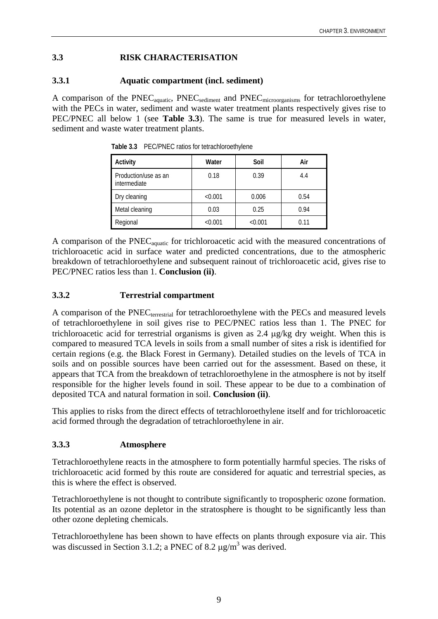## <span id="page-14-0"></span>**3.3 RISK CHARACTERISATION**

#### **3.3.1 Aquatic compartment (incl. sediment)**

A comparison of the PNEC<sub>aquatic</sub>, PNEC<sub>sediment</sub> and PNEC<sub>microorganisms</sub> for tetrachloroethylene with the PECs in water, sediment and waste water treatment plants respectively gives rise to PEC/PNEC all below 1 (see **Table 3.3**). The same is true for measured levels in water, sediment and waste water treatment plants.

| Activity                             | Water   | Soil    | Air  |
|--------------------------------------|---------|---------|------|
| Production/use as an<br>intermediate | 0.18    | 0.39    | 4.4  |
| Dry cleaning                         | < 0.001 | 0.006   | 0.54 |
| Metal cleaning                       | 0.03    | 0.25    | 0.94 |
| Regional                             | < 0.001 | < 0.001 | 0.11 |

**Table 3.3** PEC/PNEC ratios for tetrachloroethylene

A comparison of the PNECaquatic for trichloroacetic acid with the measured concentrations of trichloroacetic acid in surface water and predicted concentrations, due to the atmospheric breakdown of tetrachloroethylene and subsequent rainout of trichloroacetic acid, gives rise to PEC/PNEC ratios less than 1. **Conclusion (ii)**.

#### **3.3.2 Terrestrial compartment**

A comparison of the PNEC<sub>terrestrial</sub> for tetrachloroethylene with the PECs and measured levels of tetrachloroethylene in soil gives rise to PEC/PNEC ratios less than 1. The PNEC for trichloroacetic acid for terrestrial organisms is given as 2.4 μg/kg dry weight. When this is compared to measured TCA levels in soils from a small number of sites a risk is identified for certain regions (e.g. the Black Forest in Germany). Detailed studies on the levels of TCA in soils and on possible sources have been carried out for the assessment. Based on these, it appears that TCA from the breakdown of tetrachloroethylene in the atmosphere is not by itself responsible for the higher levels found in soil. These appear to be due to a combination of deposited TCA and natural formation in soil. **Conclusion (ii)**.

This applies to risks from the direct effects of tetrachloroethylene itself and for trichloroacetic acid formed through the degradation of tetrachloroethylene in air.

#### **3.3.3 Atmosphere**

Tetrachloroethylene reacts in the atmosphere to form potentially harmful species. The risks of trichloroacetic acid formed by this route are considered for aquatic and terrestrial species, as this is where the effect is observed.

Tetrachloroethylene is not thought to contribute significantly to tropospheric ozone formation. Its potential as an ozone depletor in the stratosphere is thought to be significantly less than other ozone depleting chemicals.

Tetrachloroethylene has been shown to have effects on plants through exposure via air. This was discussed in Section 3.1.2; a PNEC of 8.2  $\mu$ g/m<sup>3</sup> was derived.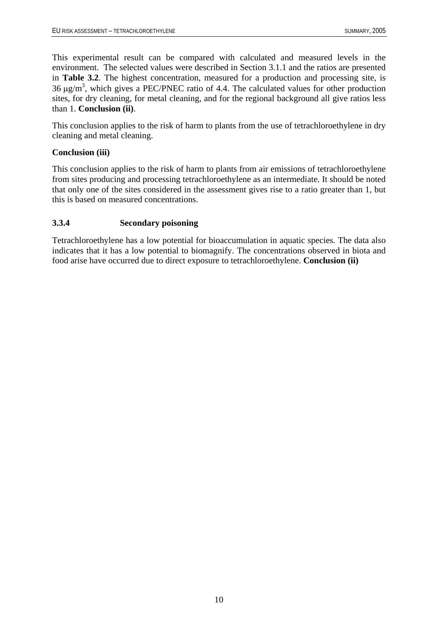<span id="page-15-0"></span>This experimental result can be compared with calculated and measured levels in the environment. The selected values were described in Section 3.1.1 and the ratios are presented in **Table 3.2**. The highest concentration, measured for a production and processing site, is 36  $\mu$ g/m<sup>3</sup>, which gives a PEC/PNEC ratio of 4.4. The calculated values for other production sites, for dry cleaning, for metal cleaning, and for the regional background all give ratios less than 1. **Conclusion (ii)**.

This conclusion applies to the risk of harm to plants from the use of tetrachloroethylene in dry cleaning and metal cleaning.

### **Conclusion (iii)**

This conclusion applies to the risk of harm to plants from air emissions of tetrachloroethylene from sites producing and processing tetrachloroethylene as an intermediate. It should be noted that only one of the sites considered in the assessment gives rise to a ratio greater than 1, but this is based on measured concentrations.

### **3.3.4 Secondary poisoning**

Tetrachloroethylene has a low potential for bioaccumulation in aquatic species. The data also indicates that it has a low potential to biomagnify. The concentrations observed in biota and food arise have occurred due to direct exposure to tetrachloroethylene. **Conclusion (ii)**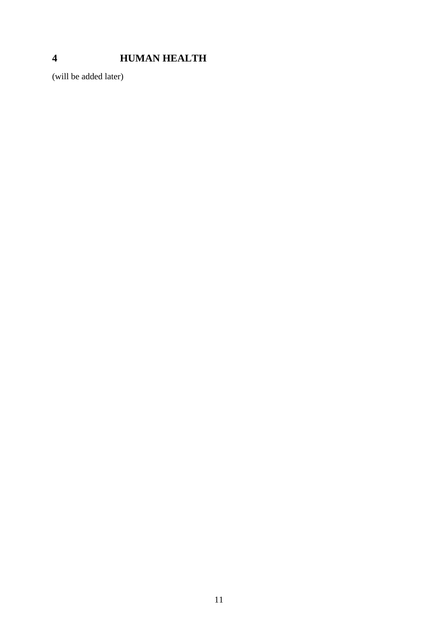# <span id="page-16-0"></span>**HUMAN HEALTH**

(will be added later)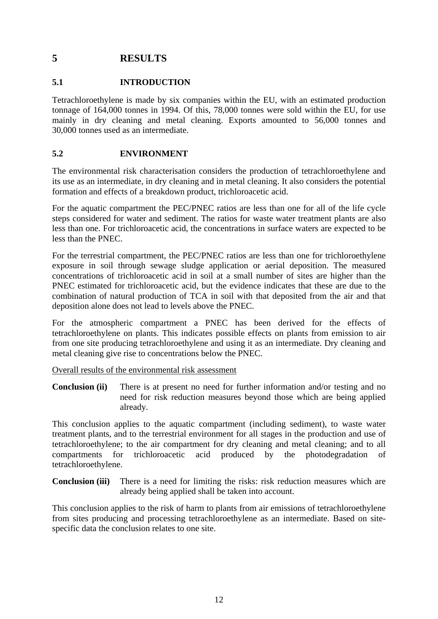# <span id="page-17-0"></span>**5 RESULTS**

#### **5.1 INTRODUCTION**

Tetrachloroethylene is made by six companies within the EU, with an estimated production tonnage of 164,000 tonnes in 1994. Of this, 78,000 tonnes were sold within the EU, for use mainly in dry cleaning and metal cleaning. Exports amounted to 56,000 tonnes and 30,000 tonnes used as an intermediate.

#### **5.2 ENVIRONMENT**

The environmental risk characterisation considers the production of tetrachloroethylene and its use as an intermediate, in dry cleaning and in metal cleaning. It also considers the potential formation and effects of a breakdown product, trichloroacetic acid.

For the aquatic compartment the PEC/PNEC ratios are less than one for all of the life cycle steps considered for water and sediment. The ratios for waste water treatment plants are also less than one. For trichloroacetic acid, the concentrations in surface waters are expected to be less than the PNEC.

For the terrestrial compartment, the PEC/PNEC ratios are less than one for trichloroethylene exposure in soil through sewage sludge application or aerial deposition. The measured concentrations of trichloroacetic acid in soil at a small number of sites are higher than the PNEC estimated for trichloroacetic acid, but the evidence indicates that these are due to the combination of natural production of TCA in soil with that deposited from the air and that deposition alone does not lead to levels above the PNEC.

For the atmospheric compartment a PNEC has been derived for the effects of tetrachloroethylene on plants. This indicates possible effects on plants from emission to air from one site producing tetrachloroethylene and using it as an intermediate. Dry cleaning and metal cleaning give rise to concentrations below the PNEC.

Overall results of the environmental risk assessment

**Conclusion (ii)** There is at present no need for further information and/or testing and no need for risk reduction measures beyond those which are being applied already.

This conclusion applies to the aquatic compartment (including sediment), to waste water treatment plants, and to the terrestrial environment for all stages in the production and use of tetrachloroethylene; to the air compartment for dry cleaning and metal cleaning; and to all compartments for trichloroacetic acid produced by the photodegradation of tetrachloroethylene.

**Conclusion (iii)** There is a need for limiting the risks: risk reduction measures which are already being applied shall be taken into account.

This conclusion applies to the risk of harm to plants from air emissions of tetrachloroethylene from sites producing and processing tetrachloroethylene as an intermediate. Based on sitespecific data the conclusion relates to one site.